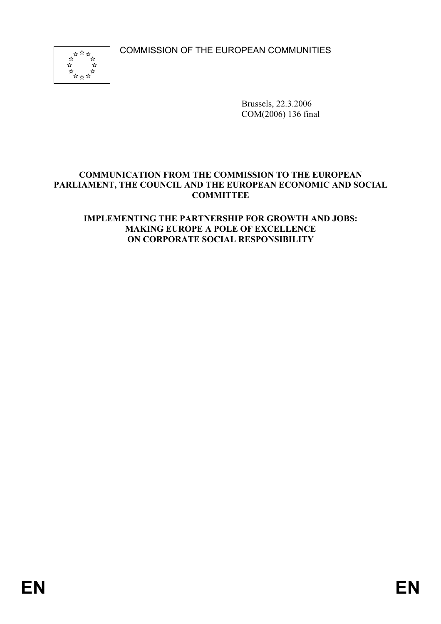COMMISSION OF THE EUROPEAN COMMUNITIES



Brussels, 22.3.2006 COM(2006) 136 final

# **COMMUNICATION FROM THE COMMISSION TO THE EUROPEAN PARLIAMENT, THE COUNCIL AND THE EUROPEAN ECONOMIC AND SOCIAL COMMITTEE**

# **IMPLEMENTING THE PARTNERSHIP FOR GROWTH AND JOBS: MAKING EUROPE A POLE OF EXCELLENCE ON CORPORATE SOCIAL RESPONSIBILITY**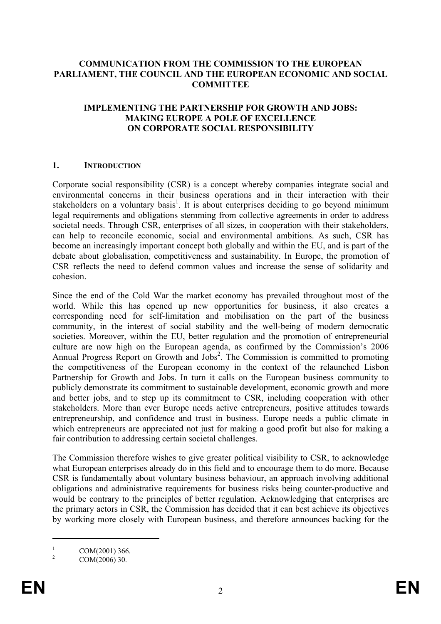## **COMMUNICATION FROM THE COMMISSION TO THE EUROPEAN PARLIAMENT, THE COUNCIL AND THE EUROPEAN ECONOMIC AND SOCIAL COMMITTEE**

## **IMPLEMENTING THE PARTNERSHIP FOR GROWTH AND JOBS: MAKING EUROPE A POLE OF EXCELLENCE ON CORPORATE SOCIAL RESPONSIBILITY**

### **1. INTRODUCTION**

Corporate social responsibility (CSR) is a concept whereby companies integrate social and environmental concerns in their business operations and in their interaction with their stakeholders on a voluntary basis<sup>1</sup>. It is about enterprises deciding to go beyond minimum legal requirements and obligations stemming from collective agreements in order to address societal needs. Through CSR, enterprises of all sizes, in cooperation with their stakeholders, can help to reconcile economic, social and environmental ambitions. As such, CSR has become an increasingly important concept both globally and within the EU, and is part of the debate about globalisation, competitiveness and sustainability. In Europe, the promotion of CSR reflects the need to defend common values and increase the sense of solidarity and cohesion.

Since the end of the Cold War the market economy has prevailed throughout most of the world. While this has opened up new opportunities for business, it also creates a corresponding need for self-limitation and mobilisation on the part of the business community, in the interest of social stability and the well-being of modern democratic societies. Moreover, within the EU, better regulation and the promotion of entrepreneurial culture are now high on the European agenda, as confirmed by the Commission's 2006 Annual Progress Report on Growth and Jobs<sup>2</sup>. The Commission is committed to promoting the competitiveness of the European economy in the context of the relaunched Lisbon Partnership for Growth and Jobs. In turn it calls on the European business community to publicly demonstrate its commitment to sustainable development, economic growth and more and better jobs, and to step up its commitment to CSR, including cooperation with other stakeholders. More than ever Europe needs active entrepreneurs, positive attitudes towards entrepreneurship, and confidence and trust in business. Europe needs a public climate in which entrepreneurs are appreciated not just for making a good profit but also for making a fair contribution to addressing certain societal challenges.

The Commission therefore wishes to give greater political visibility to CSR, to acknowledge what European enterprises already do in this field and to encourage them to do more. Because CSR is fundamentally about voluntary business behaviour, an approach involving additional obligations and administrative requirements for business risks being counter-productive and would be contrary to the principles of better regulation. Acknowledging that enterprises are the primary actors in CSR, the Commission has decided that it can best achieve its objectives by working more closely with European business, and therefore announces backing for the

1 COM(2001) 366.

1

<sup>2</sup> COM(2006) 30.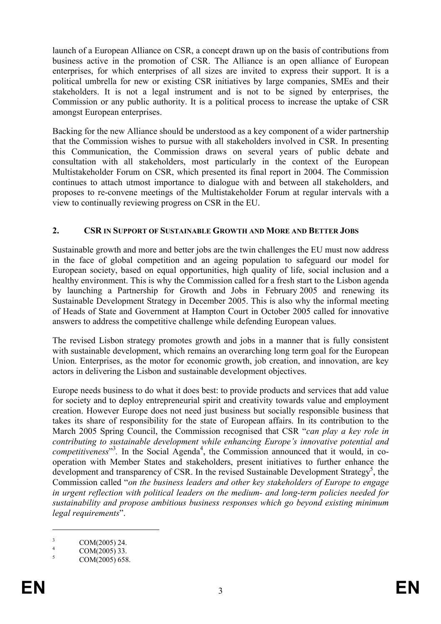launch of a European Alliance on CSR, a concept drawn up on the basis of contributions from business active in the promotion of CSR. The Alliance is an open alliance of European enterprises, for which enterprises of all sizes are invited to express their support. It is a political umbrella for new or existing CSR initiatives by large companies, SMEs and their stakeholders. It is not a legal instrument and is not to be signed by enterprises, the Commission or any public authority. It is a political process to increase the uptake of CSR amongst European enterprises.

Backing for the new Alliance should be understood as a key component of a wider partnership that the Commission wishes to pursue with all stakeholders involved in CSR. In presenting this Communication, the Commission draws on several years of public debate and consultation with all stakeholders, most particularly in the context of the European Multistakeholder Forum on CSR, which presented its final report in 2004. The Commission continues to attach utmost importance to dialogue with and between all stakeholders, and proposes to re-convene meetings of the Multistakeholder Forum at regular intervals with a view to continually reviewing progress on CSR in the EU.

# **2. CSR IN SUPPORT OF SUSTAINABLE GROWTH AND MORE AND BETTER JOBS**

Sustainable growth and more and better jobs are the twin challenges the EU must now address in the face of global competition and an ageing population to safeguard our model for European society, based on equal opportunities, high quality of life, social inclusion and a healthy environment. This is why the Commission called for a fresh start to the Lisbon agenda by launching a Partnership for Growth and Jobs in February 2005 and renewing its Sustainable Development Strategy in December 2005. This is also why the informal meeting of Heads of State and Government at Hampton Court in October 2005 called for innovative answers to address the competitive challenge while defending European values.

The revised Lisbon strategy promotes growth and jobs in a manner that is fully consistent with sustainable development, which remains an overarching long term goal for the European Union. Enterprises, as the motor for economic growth, job creation, and innovation, are key actors in delivering the Lisbon and sustainable development objectives.

Europe needs business to do what it does best: to provide products and services that add value for society and to deploy entrepreneurial spirit and creativity towards value and employment creation. However Europe does not need just business but socially responsible business that takes its share of responsibility for the state of European affairs. In its contribution to the March 2005 Spring Council, the Commission recognised that CSR "*can play a key role in contributing to sustainable development while enhancing Europe's innovative potential and*  competitiveness<sup>3</sup>. In the Social Agenda<sup>4</sup>, the Commission announced that it would, in cooperation with Member States and stakeholders, present initiatives to further enhance the development and transparency of CSR. In the revised Sustainable Development Strategy<sup>5</sup>, the Commission called "*on the business leaders and other key stakeholders of Europe to engage in urgent reflection with political leaders on the medium- and long-term policies needed for sustainability and propose ambitious business responses which go beyond existing minimum legal requirements*".

1

<sup>3</sup> COM(2005) 24. 4

COM(2005) 33.

<sup>5</sup> COM(2005) 658.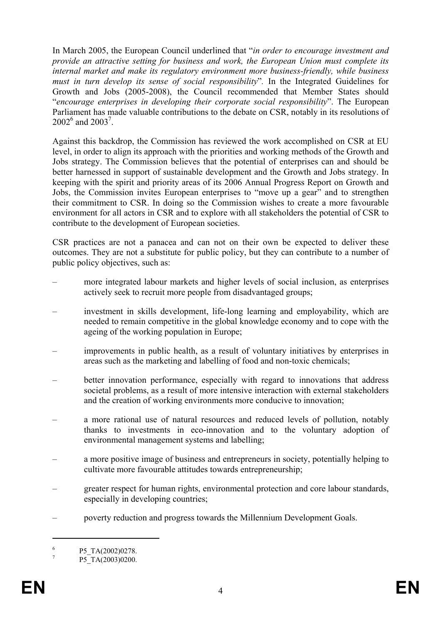In March 2005, the European Council underlined that "*in order to encourage investment and provide an attractive setting for business and work, the European Union must complete its internal market and make its regulatory environment more business-friendly, while business must in turn develop its sense of social responsibility*"*.* In the Integrated Guidelines for Growth and Jobs (2005-2008), the Council recommended that Member States should "*encourage enterprises in developing their corporate social responsibility*". The European Parliament has made valuable contributions to the debate on CSR, notably in its resolutions of  $2002^6$  and  $2003^7$ .

Against this backdrop, the Commission has reviewed the work accomplished on CSR at EU level, in order to align its approach with the priorities and working methods of the Growth and Jobs strategy. The Commission believes that the potential of enterprises can and should be better harnessed in support of sustainable development and the Growth and Jobs strategy. In keeping with the spirit and priority areas of its 2006 Annual Progress Report on Growth and Jobs, the Commission invites European enterprises to "move up a gear" and to strengthen their commitment to CSR. In doing so the Commission wishes to create a more favourable environment for all actors in CSR and to explore with all stakeholders the potential of CSR to contribute to the development of European societies.

CSR practices are not a panacea and can not on their own be expected to deliver these outcomes. They are not a substitute for public policy, but they can contribute to a number of public policy objectives, such as:

- more integrated labour markets and higher levels of social inclusion, as enterprises actively seek to recruit more people from disadvantaged groups;
- investment in skills development, life-long learning and employability, which are needed to remain competitive in the global knowledge economy and to cope with the ageing of the working population in Europe;
- improvements in public health, as a result of voluntary initiatives by enterprises in areas such as the marketing and labelling of food and non-toxic chemicals;
- better innovation performance, especially with regard to innovations that address societal problems, as a result of more intensive interaction with external stakeholders and the creation of working environments more conducive to innovation;
- a more rational use of natural resources and reduced levels of pollution, notably thanks to investments in eco-innovation and to the voluntary adoption of environmental management systems and labelling;
- a more positive image of business and entrepreneurs in society, potentially helping to cultivate more favourable attitudes towards entrepreneurship;
- greater respect for human rights, environmental protection and core labour standards, especially in developing countries;
- poverty reduction and progress towards the Millennium Development Goals.

1

<sup>6</sup> P5\_TA(2002)0278.

<sup>7</sup> P5\_TA(2003)0200.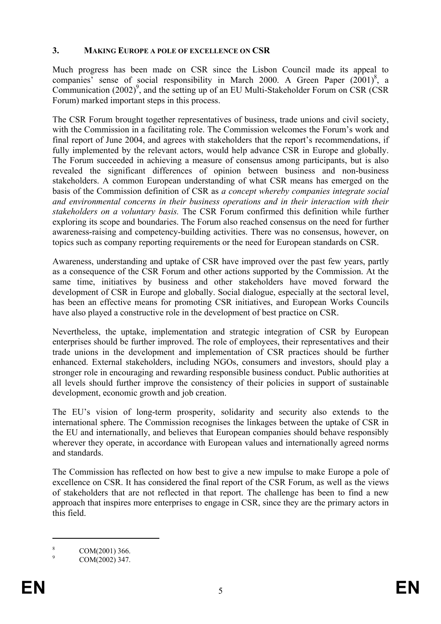# **3. MAKING EUROPE A POLE OF EXCELLENCE ON CSR**

Much progress has been made on CSR since the Lisbon Council made its appeal to companies<sup>7</sup> sense of social responsibility in March 2000. A Green Paper  $(2001)^8$ , a Communication  $(2002)^9$ , and the setting up of an EU Multi-Stakeholder Forum on CSR (CSR Forum) marked important steps in this process.

The CSR Forum brought together representatives of business, trade unions and civil society, with the Commission in a facilitating role. The Commission welcomes the Forum's work and final report of June 2004, and agrees with stakeholders that the report's recommendations, if fully implemented by the relevant actors, would help advance CSR in Europe and globally. The Forum succeeded in achieving a measure of consensus among participants, but is also revealed the significant differences of opinion between business and non-business stakeholders. A common European understanding of what CSR means has emerged on the basis of the Commission definition of CSR as *a concept whereby companies integrate social and environmental concerns in their business operations and in their interaction with their stakeholders on a voluntary basis.* The CSR Forum confirmed this definition while further exploring its scope and boundaries. The Forum also reached consensus on the need for further awareness-raising and competency-building activities. There was no consensus, however, on topics such as company reporting requirements or the need for European standards on CSR.

Awareness, understanding and uptake of CSR have improved over the past few years, partly as a consequence of the CSR Forum and other actions supported by the Commission. At the same time, initiatives by business and other stakeholders have moved forward the development of CSR in Europe and globally. Social dialogue, especially at the sectoral level, has been an effective means for promoting CSR initiatives, and European Works Councils have also played a constructive role in the development of best practice on CSR.

Nevertheless, the uptake, implementation and strategic integration of CSR by European enterprises should be further improved. The role of employees, their representatives and their trade unions in the development and implementation of CSR practices should be further enhanced. External stakeholders, including NGOs, consumers and investors, should play a stronger role in encouraging and rewarding responsible business conduct. Public authorities at all levels should further improve the consistency of their policies in support of sustainable development, economic growth and job creation.

The EU's vision of long-term prosperity, solidarity and security also extends to the international sphere. The Commission recognises the linkages between the uptake of CSR in the EU and internationally, and believes that European companies should behave responsibly wherever they operate, in accordance with European values and internationally agreed norms and standards.

The Commission has reflected on how best to give a new impulse to make Europe a pole of excellence on CSR. It has considered the final report of the CSR Forum, as well as the views of stakeholders that are not reflected in that report. The challenge has been to find a new approach that inspires more enterprises to engage in CSR, since they are the primary actors in this field.

8 COM(2001) 366.

 $\overline{a}$ 

<sup>9</sup> COM(2002) 347.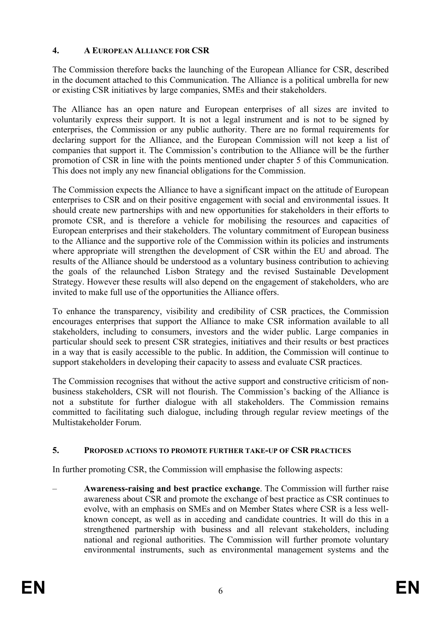# **4. A EUROPEAN ALLIANCE FOR CSR**

The Commission therefore backs the launching of the European Alliance for CSR, described in the document attached to this Communication. The Alliance is a political umbrella for new or existing CSR initiatives by large companies, SMEs and their stakeholders.

The Alliance has an open nature and European enterprises of all sizes are invited to voluntarily express their support. It is not a legal instrument and is not to be signed by enterprises, the Commission or any public authority. There are no formal requirements for declaring support for the Alliance, and the European Commission will not keep a list of companies that support it. The Commission's contribution to the Alliance will be the further promotion of CSR in line with the points mentioned under chapter 5 of this Communication. This does not imply any new financial obligations for the Commission.

The Commission expects the Alliance to have a significant impact on the attitude of European enterprises to CSR and on their positive engagement with social and environmental issues. It should create new partnerships with and new opportunities for stakeholders in their efforts to promote CSR, and is therefore a vehicle for mobilising the resources and capacities of European enterprises and their stakeholders. The voluntary commitment of European business to the Alliance and the supportive role of the Commission within its policies and instruments where appropriate will strengthen the development of CSR within the EU and abroad. The results of the Alliance should be understood as a voluntary business contribution to achieving the goals of the relaunched Lisbon Strategy and the revised Sustainable Development Strategy. However these results will also depend on the engagement of stakeholders, who are invited to make full use of the opportunities the Alliance offers.

To enhance the transparency, visibility and credibility of CSR practices, the Commission encourages enterprises that support the Alliance to make CSR information available to all stakeholders, including to consumers, investors and the wider public. Large companies in particular should seek to present CSR strategies, initiatives and their results or best practices in a way that is easily accessible to the public. In addition, the Commission will continue to support stakeholders in developing their capacity to assess and evaluate CSR practices.

The Commission recognises that without the active support and constructive criticism of nonbusiness stakeholders, CSR will not flourish. The Commission's backing of the Alliance is not a substitute for further dialogue with all stakeholders. The Commission remains committed to facilitating such dialogue, including through regular review meetings of the Multistakeholder Forum.

# **5. PROPOSED ACTIONS TO PROMOTE FURTHER TAKE-UP OF CSR PRACTICES**

In further promoting CSR, the Commission will emphasise the following aspects:

– **Awareness-raising and best practice exchange**. The Commission will further raise awareness about CSR and promote the exchange of best practice as CSR continues to evolve, with an emphasis on SMEs and on Member States where CSR is a less wellknown concept, as well as in acceding and candidate countries. It will do this in a strengthened partnership with business and all relevant stakeholders, including national and regional authorities. The Commission will further promote voluntary environmental instruments, such as environmental management systems and the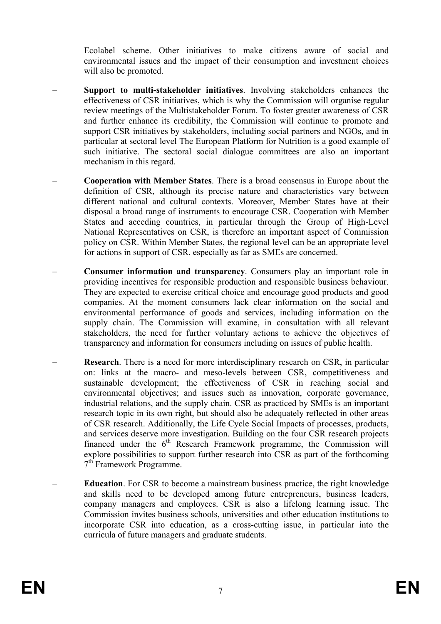Ecolabel scheme. Other initiatives to make citizens aware of social and environmental issues and the impact of their consumption and investment choices will also be promoted.

- **Support to multi-stakeholder initiatives**. Involving stakeholders enhances the effectiveness of CSR initiatives, which is why the Commission will organise regular review meetings of the Multistakeholder Forum. To foster greater awareness of CSR and further enhance its credibility, the Commission will continue to promote and support CSR initiatives by stakeholders, including social partners and NGOs, and in particular at sectoral level The European Platform for Nutrition is a good example of such initiative. The sectoral social dialogue committees are also an important mechanism in this regard.
- **Cooperation with Member States**. There is a broad consensus in Europe about the definition of CSR, although its precise nature and characteristics vary between different national and cultural contexts. Moreover, Member States have at their disposal a broad range of instruments to encourage CSR. Cooperation with Member States and acceding countries, in particular through the Group of High-Level National Representatives on CSR, is therefore an important aspect of Commission policy on CSR. Within Member States, the regional level can be an appropriate level for actions in support of CSR, especially as far as SMEs are concerned.
- **Consumer information and transparency**. Consumers play an important role in providing incentives for responsible production and responsible business behaviour. They are expected to exercise critical choice and encourage good products and good companies. At the moment consumers lack clear information on the social and environmental performance of goods and services, including information on the supply chain. The Commission will examine, in consultation with all relevant stakeholders, the need for further voluntary actions to achieve the objectives of transparency and information for consumers including on issues of public health.
- **Research**. There is a need for more interdisciplinary research on CSR, in particular on: links at the macro- and meso-levels between CSR, competitiveness and sustainable development; the effectiveness of CSR in reaching social and environmental objectives; and issues such as innovation, corporate governance, industrial relations, and the supply chain. CSR as practiced by SMEs is an important research topic in its own right, but should also be adequately reflected in other areas of CSR research. Additionally, the Life Cycle Social Impacts of processes, products, and services deserve more investigation. Building on the four CSR research projects financed under the  $6<sup>th</sup>$  Research Framework programme, the Commission will explore possibilities to support further research into CSR as part of the forthcoming 7<sup>th</sup> Framework Programme.
- **Education**. For CSR to become a mainstream business practice, the right knowledge and skills need to be developed among future entrepreneurs, business leaders, company managers and employees. CSR is also a lifelong learning issue. The Commission invites business schools, universities and other education institutions to incorporate CSR into education, as a cross-cutting issue, in particular into the curricula of future managers and graduate students.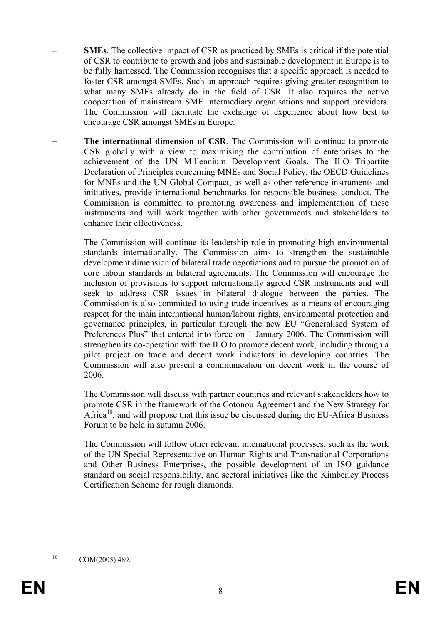- **SMEs**. The collective impact of CSR as practiced by SMEs is critical if the potential of CSR to contribute to growth and jobs and sustainable development in Europe is to be fully harnessed. The Commission recognises that a specific approach is needed to foster CSR amongst SMEs. Such an approach requires giving greater recognition to what many SMEs already do in the field of CSR. It also requires the active cooperation of mainstream SME intermediary organisations and support providers. The Commission will facilitate the exchange of experience about how best to encourage CSR amongst SMEs in Europe.
- **The international dimension of CSR**. The Commission will continue to promote CSR globally with a view to maximising the contribution of enterprises to the achievement of the UN Millennium Development Goals. The ILO Tripartite Declaration of Principles concerning MNEs and Social Policy, the OECD Guidelines for MNEs and the UN Global Compact, as well as other reference instruments and initiatives, provide international benchmarks for responsible business conduct. The Commission is committed to promoting awareness and implementation of these instruments and will work together with other governments and stakeholders to enhance their effectiveness.

The Commission will continue its leadership role in promoting high environmental standards internationally. The Commission aims to strengthen the sustainable development dimension of bilateral trade negotiations and to pursue the promotion of core labour standards in bilateral agreements. The Commission will encourage the inclusion of provisions to support internationally agreed CSR instruments and will seek to address CSR issues in bilateral dialogue between the parties. The Commission is also committed to using trade incentives as a means of encouraging respect for the main international human/labour rights, environmental protection and governance principles, in particular through the new EU "Generalised System of Preferences Plus" that entered into force on 1 January 2006. The Commission will strengthen its co-operation with the ILO to promote decent work, including through a pilot project on trade and decent work indicators in developing countries. The Commission will also present a communication on decent work in the course of 2006.

The Commission will discuss with partner countries and relevant stakeholders how to promote CSR in the framework of the Cotonou Agreement and the New Strategy for Africa<sup>10</sup>, and will propose that this issue be discussed during the EU-Africa Business Forum to be held in autumn 2006.

The Commission will follow other relevant international processes, such as the work of the UN Special Representative on Human Rights and Transnational Corporations and Other Business Enterprises, the possible development of an ISO guidance standard on social responsibility, and sectoral initiatives like the Kimberley Process Certification Scheme for rough diamonds.

<u>.</u>

 $10$  COM(2005) 489.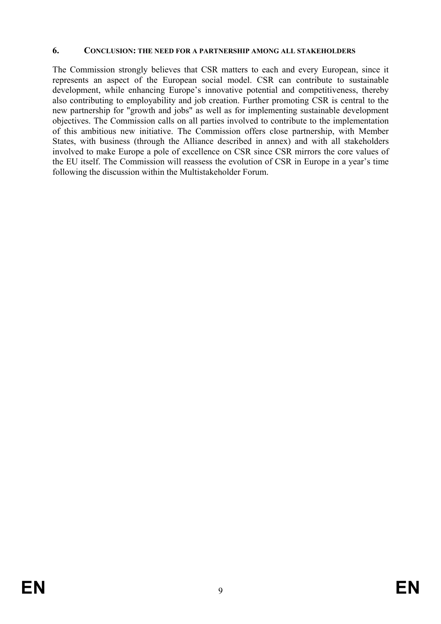## **6. CONCLUSION: THE NEED FOR A PARTNERSHIP AMONG ALL STAKEHOLDERS**

The Commission strongly believes that CSR matters to each and every European, since it represents an aspect of the European social model. CSR can contribute to sustainable development, while enhancing Europe's innovative potential and competitiveness, thereby also contributing to employability and job creation. Further promoting CSR is central to the new partnership for "growth and jobs" as well as for implementing sustainable development objectives. The Commission calls on all parties involved to contribute to the implementation of this ambitious new initiative. The Commission offers close partnership, with Member States, with business (through the Alliance described in annex) and with all stakeholders involved to make Europe a pole of excellence on CSR since CSR mirrors the core values of the EU itself. The Commission will reassess the evolution of CSR in Europe in a year's time following the discussion within the Multistakeholder Forum.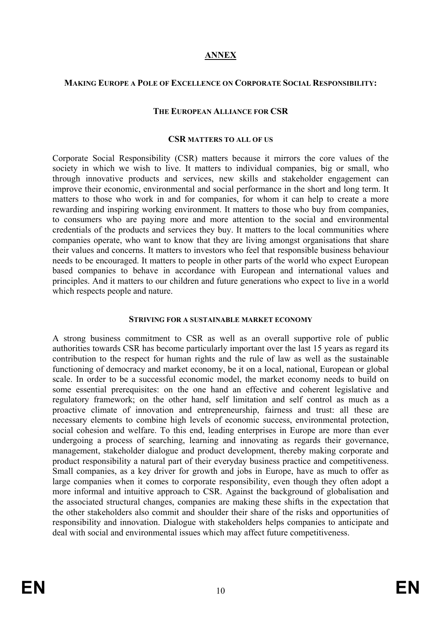# **ANNEX**

## **MAKING EUROPE A POLE OF EXCELLENCE ON CORPORATE SOCIAL RESPONSIBILITY:**

### **THE EUROPEAN ALLIANCE FOR CSR**

#### **CSR MATTERS TO ALL OF US**

Corporate Social Responsibility (CSR) matters because it mirrors the core values of the society in which we wish to live. It matters to individual companies, big or small, who through innovative products and services, new skills and stakeholder engagement can improve their economic, environmental and social performance in the short and long term. It matters to those who work in and for companies, for whom it can help to create a more rewarding and inspiring working environment. It matters to those who buy from companies, to consumers who are paying more and more attention to the social and environmental credentials of the products and services they buy. It matters to the local communities where companies operate, who want to know that they are living amongst organisations that share their values and concerns. It matters to investors who feel that responsible business behaviour needs to be encouraged. It matters to people in other parts of the world who expect European based companies to behave in accordance with European and international values and principles. And it matters to our children and future generations who expect to live in a world which respects people and nature.

### **STRIVING FOR A SUSTAINABLE MARKET ECONOMY**

A strong business commitment to CSR as well as an overall supportive role of public authorities towards CSR has become particularly important over the last 15 years as regard its contribution to the respect for human rights and the rule of law as well as the sustainable functioning of democracy and market economy, be it on a local, national, European or global scale. In order to be a successful economic model, the market economy needs to build on some essential prerequisites: on the one hand an effective and coherent legislative and regulatory framework; on the other hand, self limitation and self control as much as a proactive climate of innovation and entrepreneurship, fairness and trust: all these are necessary elements to combine high levels of economic success, environmental protection, social cohesion and welfare. To this end, leading enterprises in Europe are more than ever undergoing a process of searching, learning and innovating as regards their governance, management, stakeholder dialogue and product development, thereby making corporate and product responsibility a natural part of their everyday business practice and competitiveness. Small companies, as a key driver for growth and jobs in Europe, have as much to offer as large companies when it comes to corporate responsibility, even though they often adopt a more informal and intuitive approach to CSR. Against the background of globalisation and the associated structural changes, companies are making these shifts in the expectation that the other stakeholders also commit and shoulder their share of the risks and opportunities of responsibility and innovation. Dialogue with stakeholders helps companies to anticipate and deal with social and environmental issues which may affect future competitiveness.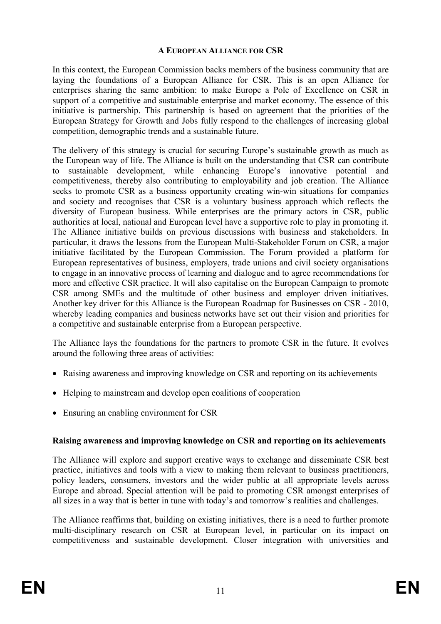## **A EUROPEAN ALLIANCE FOR CSR**

In this context, the European Commission backs members of the business community that are laying the foundations of a European Alliance for CSR. This is an open Alliance for enterprises sharing the same ambition: to make Europe a Pole of Excellence on CSR in support of a competitive and sustainable enterprise and market economy. The essence of this initiative is partnership. This partnership is based on agreement that the priorities of the European Strategy for Growth and Jobs fully respond to the challenges of increasing global competition, demographic trends and a sustainable future.

The delivery of this strategy is crucial for securing Europe's sustainable growth as much as the European way of life. The Alliance is built on the understanding that CSR can contribute to sustainable development, while enhancing Europe's innovative potential and competitiveness, thereby also contributing to employability and job creation. The Alliance seeks to promote CSR as a business opportunity creating win-win situations for companies and society and recognises that CSR is a voluntary business approach which reflects the diversity of European business. While enterprises are the primary actors in CSR, public authorities at local, national and European level have a supportive role to play in promoting it. The Alliance initiative builds on previous discussions with business and stakeholders. In particular, it draws the lessons from the European Multi-Stakeholder Forum on CSR, a major initiative facilitated by the European Commission. The Forum provided a platform for European representatives of business, employers, trade unions and civil society organisations to engage in an innovative process of learning and dialogue and to agree recommendations for more and effective CSR practice. It will also capitalise on the European Campaign to promote CSR among SMEs and the multitude of other business and employer driven initiatives. Another key driver for this Alliance is the European Roadmap for Businesses on CSR - 2010, whereby leading companies and business networks have set out their vision and priorities for a competitive and sustainable enterprise from a European perspective.

The Alliance lays the foundations for the partners to promote CSR in the future. It evolves around the following three areas of activities:

- Raising awareness and improving knowledge on CSR and reporting on its achievements
- Helping to mainstream and develop open coalitions of cooperation
- Ensuring an enabling environment for CSR

## **Raising awareness and improving knowledge on CSR and reporting on its achievements**

The Alliance will explore and support creative ways to exchange and disseminate CSR best practice, initiatives and tools with a view to making them relevant to business practitioners, policy leaders, consumers, investors and the wider public at all appropriate levels across Europe and abroad. Special attention will be paid to promoting CSR amongst enterprises of all sizes in a way that is better in tune with today's and tomorrow's realities and challenges.

The Alliance reaffirms that, building on existing initiatives, there is a need to further promote multi-disciplinary research on CSR at European level, in particular on its impact on competitiveness and sustainable development. Closer integration with universities and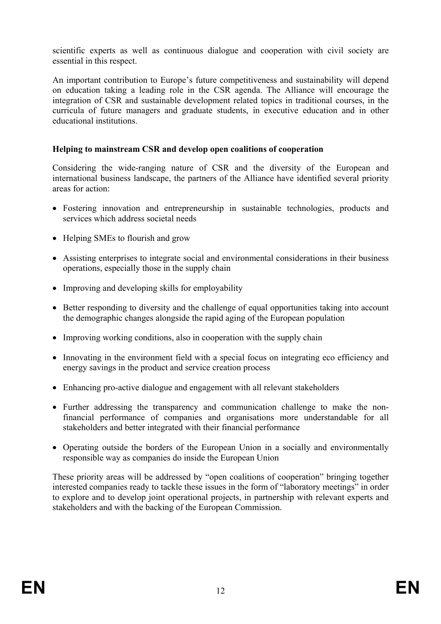scientific experts as well as continuous dialogue and cooperation with civil society are essential in this respect.

An important contribution to Europe's future competitiveness and sustainability will depend on education taking a leading role in the CSR agenda. The Alliance will encourage the integration of CSR and sustainable development related topics in traditional courses, in the curricula of future managers and graduate students, in executive education and in other educational institutions.

# **Helping to mainstream CSR and develop open coalitions of cooperation**

Considering the wide-ranging nature of CSR and the diversity of the European and international business landscape, the partners of the Alliance have identified several priority areas for action:

- Fostering innovation and entrepreneurship in sustainable technologies, products and services which address societal needs
- Helping SMEs to flourish and grow
- Assisting enterprises to integrate social and environmental considerations in their business operations, especially those in the supply chain
- Improving and developing skills for employability
- Better responding to diversity and the challenge of equal opportunities taking into account the demographic changes alongside the rapid aging of the European population
- Improving working conditions, also in cooperation with the supply chain
- Innovating in the environment field with a special focus on integrating eco efficiency and energy savings in the product and service creation process
- Enhancing pro-active dialogue and engagement with all relevant stakeholders
- Further addressing the transparency and communication challenge to make the nonfinancial performance of companies and organisations more understandable for all stakeholders and better integrated with their financial performance
- Operating outside the borders of the European Union in a socially and environmentally responsible way as companies do inside the European Union

These priority areas will be addressed by "open coalitions of cooperation" bringing together interested companies ready to tackle these issues in the form of "laboratory meetings" in order to explore and to develop joint operational projects, in partnership with relevant experts and stakeholders and with the backing of the European Commission.